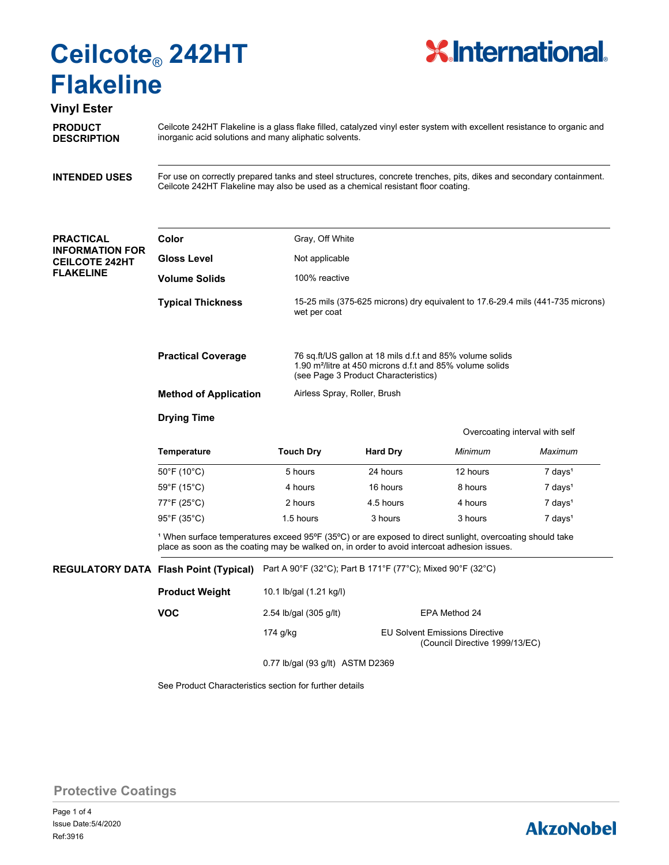

## **Vinyl Ester**

**PRODUCT DESCRIPTION**

Ceilcote 242HT Flakeline is a glass flake filled, catalyzed vinyl ester system with excellent resistance to organic and inorganic acid solutions and many aliphatic solvents.

**INTENDED USES**

For use on correctly prepared tanks and steel structures, concrete trenches, pits, dikes and secondary containment. Ceilcote 242HT Flakeline may also be used as a chemical resistant floor coating.

### **PRACTICAL INFORMATION FOR CEILCOTE 242HT FLAKELINE**

| Color                                                                                                                                                                                                               |                  | Gray, Off White                                                                                                                                                            |                                |                     |  |  |
|---------------------------------------------------------------------------------------------------------------------------------------------------------------------------------------------------------------------|------------------|----------------------------------------------------------------------------------------------------------------------------------------------------------------------------|--------------------------------|---------------------|--|--|
| <b>Gloss Level</b>                                                                                                                                                                                                  |                  | Not applicable                                                                                                                                                             |                                |                     |  |  |
| <b>Volume Solids</b>                                                                                                                                                                                                |                  | 100% reactive                                                                                                                                                              |                                |                     |  |  |
| <b>Typical Thickness</b>                                                                                                                                                                                            |                  | 15-25 mils (375-625 microns) dry equivalent to 17.6-29.4 mils (441-735 microns)<br>wet per coat                                                                            |                                |                     |  |  |
| <b>Practical Coverage</b>                                                                                                                                                                                           |                  | 76 sq.ft/US gallon at 18 mils d.f.t and 85% volume solids<br>1.90 m <sup>2</sup> /litre at 450 microns d.f.t and 85% volume solids<br>(see Page 3 Product Characteristics) |                                |                     |  |  |
| <b>Method of Application</b>                                                                                                                                                                                        |                  | Airless Spray, Roller, Brush                                                                                                                                               |                                |                     |  |  |
| <b>Drying Time</b>                                                                                                                                                                                                  |                  |                                                                                                                                                                            |                                |                     |  |  |
|                                                                                                                                                                                                                     |                  |                                                                                                                                                                            | Overcoating interval with self |                     |  |  |
| <b>Temperature</b>                                                                                                                                                                                                  | <b>Touch Dry</b> | <b>Hard Dry</b>                                                                                                                                                            | Minimum                        | Maximum             |  |  |
| $50^{\circ}$ F (10 $^{\circ}$ C)                                                                                                                                                                                    | 5 hours          | 24 hours                                                                                                                                                                   | 12 hours                       | 7 days <sup>1</sup> |  |  |
| $59^{\circ}$ F (15 $^{\circ}$ C)                                                                                                                                                                                    | 4 hours          | 16 hours                                                                                                                                                                   | 8 hours                        | $7 \text{ days}^1$  |  |  |
| 77°F (25°C)                                                                                                                                                                                                         | 2 hours          | 4.5 hours                                                                                                                                                                  | 4 hours                        | $7 \text{ days}^1$  |  |  |
| 95°F (35°C)                                                                                                                                                                                                         | 1.5 hours        | $7$ days <sup>1</sup><br>3 hours<br>3 hours                                                                                                                                |                                |                     |  |  |
| <sup>1</sup> When surface temperatures exceed 95°F (35°C) or are exposed to direct sunlight, overcoating should take<br>place as soon as the coating may be walked on, in order to avoid intercoat adhesion issues. |                  |                                                                                                                                                                            |                                |                     |  |  |

**REGULATORY DATA Flash Point (Typical)** Part A 90°F (32°C); Part B 171°F (77°C); Mixed 90°F (32°C)

| <b>Product Weight</b> | 10.1 lb/gal (1.21 kg/l)          |                                                                         |  |  |  |
|-----------------------|----------------------------------|-------------------------------------------------------------------------|--|--|--|
| <b>VOC</b>            | 2.54 lb/gal (305 g/lt)           | EPA Method 24                                                           |  |  |  |
|                       | 174 g/kg                         | <b>EU Solvent Emissions Directive</b><br>(Council Directive 1999/13/EC) |  |  |  |
|                       | 0.77 lb/gal (93 g/lt) ASTM D2369 |                                                                         |  |  |  |

See Product Characteristics section for further details

**Protective Coatings**

# **AkzoNobel**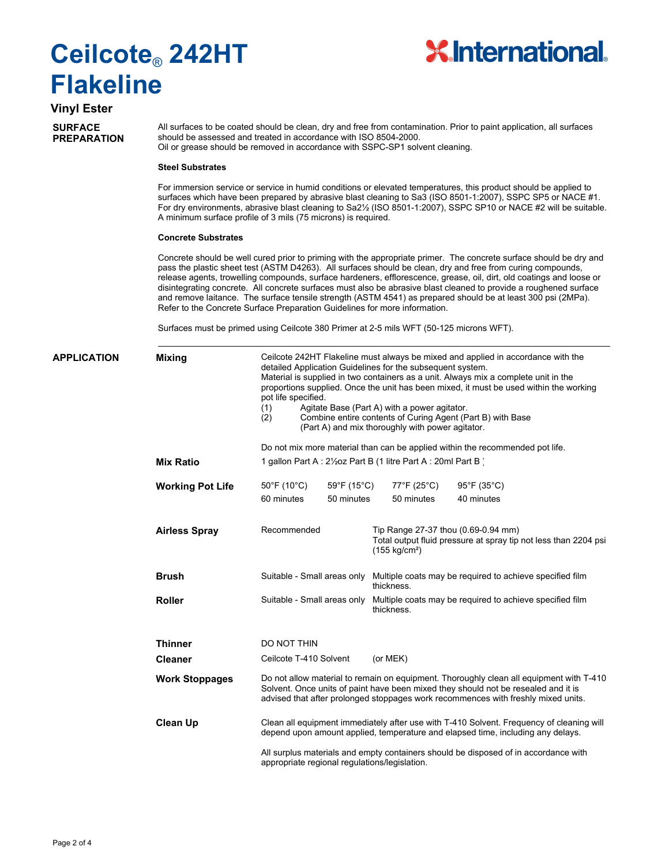

# **Vinyl Ester**

**SURFACE PREPARATION** All surfaces to be coated should be clean, dry and free from contamination. Prior to paint application, all surfaces should be assessed and treated in accordance with ISO 8504-2000. Oil or grease should be removed in accordance with SSPC-SP1 solvent cleaning.

#### **Steel Substrates**

For immersion service or service in humid conditions or elevated temperatures, this product should be applied to surfaces which have been prepared by abrasive blast cleaning to Sa3 (ISO 8501-1:2007), SSPC SP5 or NACE #1. For dry environments, abrasive blast cleaning to Sa2<sup>1</sup>/<sub>2</sub> (ISO 8501-1:2007), SSPC SP10 or NACE #2 will be suitable. A minimum surface profile of 3 mils (75 microns) is required.

### **Concrete Substrates**

Concrete should be well cured prior to priming with the appropriate primer. The concrete surface should be dry and pass the plastic sheet test (ASTM D4263). All surfaces should be clean, dry and free from curing compounds, release agents, trowelling compounds, surface hardeners, efflorescence, grease, oil, dirt, old coatings and loose or disintegrating concrete. All concrete surfaces must also be abrasive blast cleaned to provide a roughened surface and remove laitance. The surface tensile strength (ASTM 4541) as prepared should be at least 300 psi (2MPa). Refer to the Concrete Surface Preparation Guidelines for more information.

Surfaces must be primed using Ceilcote 380 Primer at 2-5 mils WFT (50-125 microns WFT).

| APPLICATION | <b>Mixing</b>           | Ceilcote 242HT Flakeline must always be mixed and applied in accordance with the<br>detailed Application Guidelines for the subsequent system.<br>Material is supplied in two containers as a unit. Always mix a complete unit in the<br>proportions supplied. Once the unit has been mixed, it must be used within the working<br>pot life specified.<br>Agitate Base (Part A) with a power agitator.<br>(1)<br>Combine entire contents of Curing Agent (Part B) with Base<br>(2)<br>(Part A) and mix thoroughly with power agitator. |             |                                                                                                                                     |                                  |  |  |
|-------------|-------------------------|----------------------------------------------------------------------------------------------------------------------------------------------------------------------------------------------------------------------------------------------------------------------------------------------------------------------------------------------------------------------------------------------------------------------------------------------------------------------------------------------------------------------------------------|-------------|-------------------------------------------------------------------------------------------------------------------------------------|----------------------------------|--|--|
|             |                         |                                                                                                                                                                                                                                                                                                                                                                                                                                                                                                                                        |             | Do not mix more material than can be applied within the recommended pot life.                                                       |                                  |  |  |
|             | <b>Mix Ratio</b>        | 1 gallon Part A : 21/202 Part B (1 litre Part A : 20ml Part B)                                                                                                                                                                                                                                                                                                                                                                                                                                                                         |             |                                                                                                                                     |                                  |  |  |
|             | <b>Working Pot Life</b> | $50^{\circ}$ F (10 $^{\circ}$ C)                                                                                                                                                                                                                                                                                                                                                                                                                                                                                                       | 59°F (15°C) | 77°F (25°C)                                                                                                                         | $95^{\circ}$ F (35 $^{\circ}$ C) |  |  |
|             |                         | 60 minutes                                                                                                                                                                                                                                                                                                                                                                                                                                                                                                                             | 50 minutes  | 50 minutes                                                                                                                          | 40 minutes                       |  |  |
|             | <b>Airless Spray</b>    | Recommended                                                                                                                                                                                                                                                                                                                                                                                                                                                                                                                            |             | Tip Range 27-37 thou (0.69-0.94 mm)<br>Total output fluid pressure at spray tip not less than 2204 psi<br>(155 kg/cm <sup>2</sup> ) |                                  |  |  |
|             | <b>Brush</b>            | Suitable - Small areas only                                                                                                                                                                                                                                                                                                                                                                                                                                                                                                            |             | Multiple coats may be required to achieve specified film<br>thickness.                                                              |                                  |  |  |
|             | <b>Roller</b>           | Suitable - Small areas only                                                                                                                                                                                                                                                                                                                                                                                                                                                                                                            |             | Multiple coats may be required to achieve specified film<br>thickness.                                                              |                                  |  |  |
|             | <b>Thinner</b>          | DO NOT THIN                                                                                                                                                                                                                                                                                                                                                                                                                                                                                                                            |             |                                                                                                                                     |                                  |  |  |
|             | <b>Cleaner</b>          | Ceilcote T-410 Solvent                                                                                                                                                                                                                                                                                                                                                                                                                                                                                                                 |             | (or MEK)                                                                                                                            |                                  |  |  |
|             | <b>Work Stoppages</b>   | Do not allow material to remain on equipment. Thoroughly clean all equipment with T-410<br>Solvent. Once units of paint have been mixed they should not be resealed and it is<br>advised that after prolonged stoppages work recommences with freshly mixed units.                                                                                                                                                                                                                                                                     |             |                                                                                                                                     |                                  |  |  |
|             | <b>Clean Up</b>         | Clean all equipment immediately after use with T-410 Solvent. Frequency of cleaning will<br>depend upon amount applied, temperature and elapsed time, including any delays.<br>All surplus materials and empty containers should be disposed of in accordance with<br>appropriate regional regulations/legislation.                                                                                                                                                                                                                    |             |                                                                                                                                     |                                  |  |  |
|             |                         |                                                                                                                                                                                                                                                                                                                                                                                                                                                                                                                                        |             |                                                                                                                                     |                                  |  |  |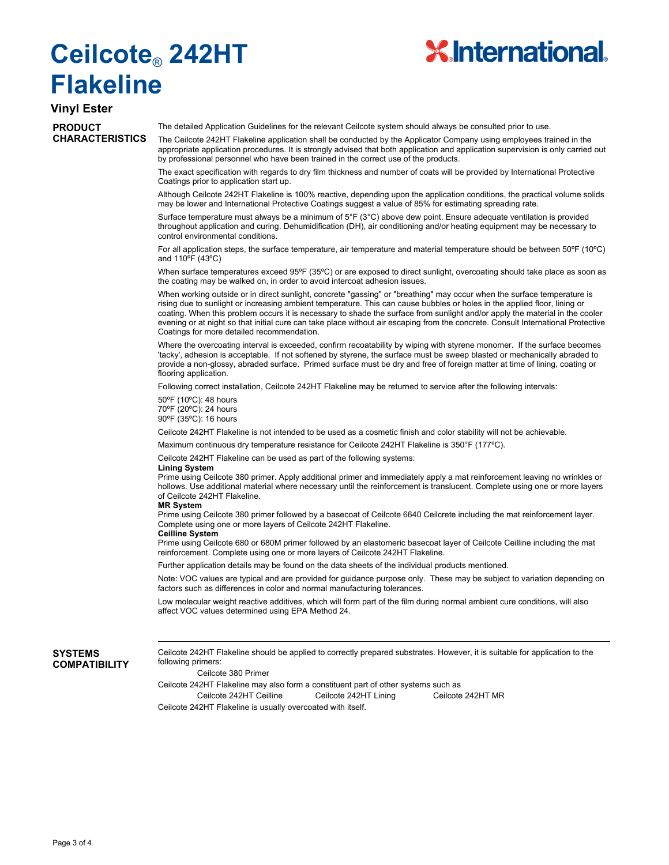

# **Vinyl Ester**

### **PRODUCT CHARACTERISTICS**

The detailed Application Guidelines for the relevant Ceilcote system should always be consulted prior to use.

The Ceilcote 242HT Flakeline application shall be conducted by the Applicator Company using employees trained in the appropriate application procedures. It is strongly advised that both application and application supervision is only carried out by professional personnel who have been trained in the correct use of the products.

The exact specification with regards to dry film thickness and number of coats will be provided by International Protective Coatings prior to application start up.

Although Ceilcote 242HT Flakeline is 100% reactive, depending upon the application conditions, the practical volume solids may be lower and International Protective Coatings suggest a value of 85% for estimating spreading rate.

Surface temperature must always be a minimum of 5°F (3°C) above dew point. Ensure adequate ventilation is provided throughout application and curing. Dehumidification (DH), air conditioning and/or heating equipment may be necessary to control environmental conditions.

For all application steps, the surface temperature, air temperature and material temperature should be between 50ºF (10ºC) and 110ºF (43ºC)

When surface temperatures exceed 95°F (35°C) or are exposed to direct sunlight, overcoating should take place as soon as the coating may be walked on, in order to avoid intercoat adhesion issues

When working outside or in direct sunlight, concrete "gassing" or "breathing" may occur when the surface temperature is rising due to sunlight or increasing ambient temperature. This can cause bubbles or holes in the applied floor, lining or coating. When this problem occurs it is necessary to shade the surface from sunlight and/or apply the material in the cooler evening or at night so that initial cure can take place without air escaping from the concrete. Consult International Protective Coatings for more detailed recommendation.

Where the overcoating interval is exceeded, confirm recoatability by wiping with styrene monomer. If the surface becomes 'tacky', adhesion is acceptable. If not softened by styrene, the surface must be sweep blasted or mechanically abraded to provide a non-glossy, abraded surface. Primed surface must be dry and free of foreign matter at time of lining, coating or flooring application.

Following correct installation, Ceilcote 242HT Flakeline may be returned to service after the following intervals:

50ºF (10ºC): 48 hours 70ºF (20ºC): 24 hours 90ºF (35ºC): 16 hours

Ceilcote 242HT Flakeline is not intended to be used as a cosmetic finish and color stability will not be achievable.

Maximum continuous dry temperature resistance for Ceilcote 242HT Flakeline is 350°F (177ºC).

Ceilcote 242HT Flakeline can be used as part of the following systems:

#### **Lining System**

Prime using Ceilcote 380 primer. Apply additional primer and immediately apply a mat reinforcement leaving no wrinkles or hollows. Use additional material where necessary until the reinforcement is translucent. Complete using one or more layers of Ceilcote 242HT Flakeline.

#### **MR System**

Prime using Ceilcote 380 primer followed by a basecoat of Ceilcote 6640 Ceilcrete including the mat reinforcement layer. Complete using one or more layers of Ceilcote 242HT Flakeline.

### **Ceilline System**

Prime using Ceilcote 680 or 680M primer followed by an elastomeric basecoat layer of Ceilcote Ceilline including the mat reinforcement. Complete using one or more layers of Ceilcote 242HT Flakeline.

Further application details may be found on the data sheets of the individual products mentioned.

Note: VOC values are typical and are provided for guidance purpose only. These may be subject to variation depending on factors such as differences in color and normal manufacturing tolerances.

Low molecular weight reactive additives, which will form part of the film during normal ambient cure conditions, will also affect VOC values determined using EPA Method 24.

### **SYSTEMS COMPATIBILITY**

Ceilcote 242HT Flakeline should be applied to correctly prepared substrates. However, it is suitable for application to the following primers:

Ceilcote 380 Primer

Ceilcote 242HT Flakeline may also form a constituent part of other systems such as Ceilcote 242HT Ceilline Ceilcote 242HT Lining Ceilcote 242HT MR Ceilcote 242HT Flakeline is usually overcoated with itself.